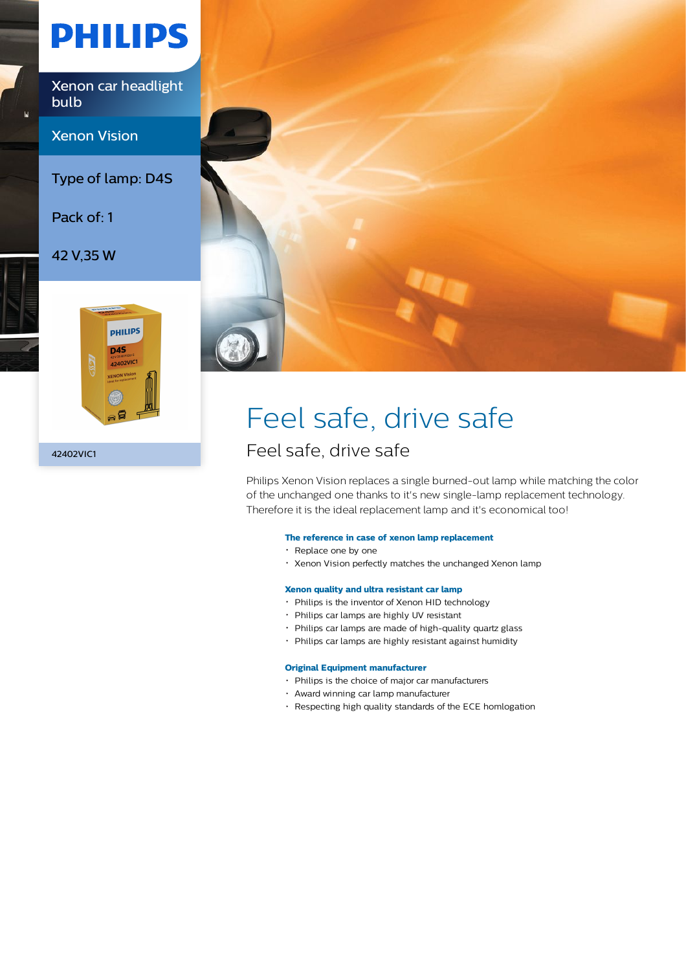# **PHILIPS**

Xenon car headlight bulb

Xenon Vision

Type of lamp: D4S

Pack of: 1

42 V,35 W



42402VIC1



### Feel safe, drive safe

### Feel safe, drive safe

Philips Xenon Vision replaces a single burned-out lamp while matching the color of the unchanged one thanks to it's new single-lamp replacement technology. Therefore it is the ideal replacement lamp and it's economical too!

#### **The reference in case of xenon lamp replacement**

- Replace one by one
- Xenon Vision perfectly matches the unchanged Xenon lamp

#### **Xenon quality and ultra resistant car lamp**

- Philips is the inventor of Xenon HID technology
- Philips car lamps are highly UV resistant
- Philips car lamps are made of high-quality quartz glass
- Philips car lamps are highly resistant against humidity

#### **Original Equipment manufacturer**

- Philips is the choice of major car manufacturers
- Award winning car lamp manufacturer
- Respecting high quality standards of the ECE homlogation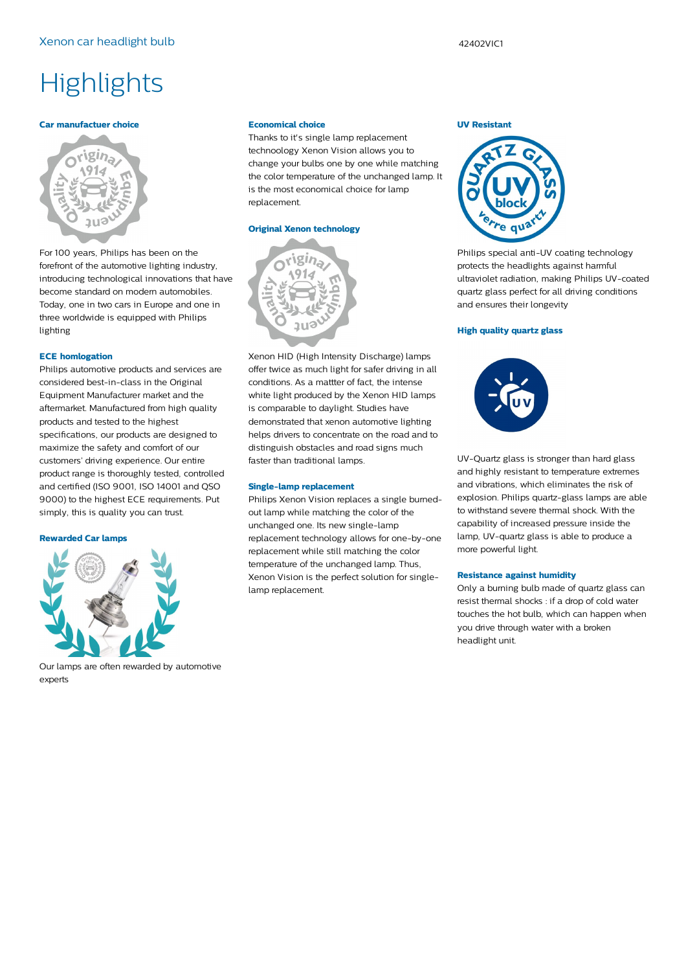## **Highlights**

#### **Car manufactuer choice**



For 100 years, Philips has been on the forefront of the automotive lighting industry, introducing technological innovations that have become standard on modern automobiles. Today, one in two cars in Europe and one in three worldwide is equipped with Philips lighting

#### **ECE homlogation**

Philips automotive products and services are considered best-in-class in the Original Equipment Manufacturer market and the aftermarket. Manufactured from high quality products and tested to the highest specifications, our products are designed to maximize the safety and comfort of our customers' driving experience. Our entire product range is thoroughly tested, controlled and certified (ISO 9001, ISO 14001 and QSO 9000) to the highest ECE requirements. Put simply, this is quality you can trust.

#### **Rewarded Car lamps**



Our lamps are often rewarded by automotive experts

#### **Economical choice**

Thanks to it's single lamp replacement technoology Xenon Vision allows you to change your bulbs one by one while matching the color temperature of the unchanged lamp. It is the most economical choice for lamp replacement.

#### **Original Xenon technology**



Xenon HID (High Intensity Discharge) lamps offer twice as much light for safer driving in all conditions. As a mattter of fact, the intense white light produced by the Xenon HID lamps is comparable to daylight. Studies have demonstrated that xenon automotive lighting helps drivers to concentrate on the road and to distinguish obstacles and road signs much faster than traditional lamps.

#### **Single-lamp replacement**

Philips Xenon Vision replaces a single burnedout lamp while matching the color of the unchanged one. Its new single-lamp replacement technology allows for one-by-one replacement while still matching the color temperature of the unchanged lamp. Thus, Xenon Vision is the perfect solution for singlelamp replacement.

#### **UV Resistant**



Philips special anti-UV coating technology protects the headlights against harmful ultraviolet radiation, making Philips UV-coated quartz glass perfect for all driving conditions and ensures their longevity

#### **High quality quartz glass**



UV-Quartz glass is stronger than hard glass and highly resistant to temperature extremes and vibrations, which eliminates the risk of explosion. Philips quartz-glass lamps are able to withstand severe thermal shock. With the capability of increased pressure inside the lamp, UV-quartz glass is able to produce a more powerful light.

#### **Resistance against humidity**

Only a burning bulb made of quartz glass can resist thermal shocks : if a drop of cold water touches the hot bulb, which can happen when you drive through water with a broken headlight unit.